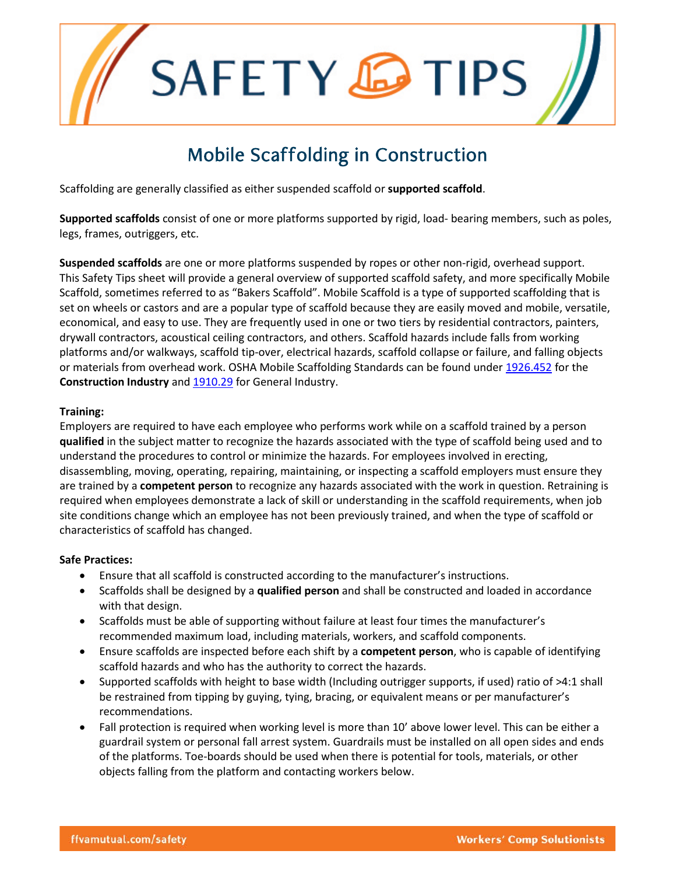SAFETY **&TIPS** 

# Mobile Scaffolding in Construction

Scaffolding are generally classified as either suspended scaffold or **supported scaffold**.

**Supported scaffolds** consist of one or more platforms supported by rigid, load- bearing members, such as poles, legs, frames, outriggers, etc.

**Suspended scaffolds** are one or more platforms suspended by ropes or other non-rigid, overhead support. This Safety Tips sheet will provide a general overview of supported scaffold safety, and more specifically Mobile Scaffold, sometimes referred to as "Bakers Scaffold". Mobile Scaffold is a type of supported scaffolding that is set on wheels or castors and are a popular type of scaffold because they are easily moved and mobile, versatile, economical, and easy to use. They are frequently used in one or two tiers by residential contractors, painters, drywall contractors, acoustical ceiling contractors, and others. Scaffold hazards include falls from working platforms and/or walkways, scaffold tip-over, electrical hazards, scaffold collapse or failure, and falling objects or materials from overhead work. OSHA Mobile Scaffolding Standards can be found under [1926.452](https://www.osha.gov/pls/oshaweb/owadisp.show_document?p_table=STANDARDS&p_id=10753) for the **Construction Industry** and [1910.29](https://www.osha.gov/pls/oshaweb/owadisp.show_document?p_id=9721&p_table=STANDARDS) for General Industry.

### **Training:**

Employers are required to have each employee who performs work while on a scaffold trained by a person **qualified** in the subject matter to recognize the hazards associated with the type of scaffold being used and to understand the procedures to control or minimize the hazards. For employees involved in erecting, disassembling, moving, operating, repairing, maintaining, or inspecting a scaffold employers must ensure they are trained by a **competent person** to recognize any hazards associated with the work in question. Retraining is required when employees demonstrate a lack of skill or understanding in the scaffold requirements, when job site conditions change which an employee has not been previously trained, and when the type of scaffold or characteristics of scaffold has changed.

### **Safe Practices:**

- Ensure that all scaffold is constructed according to the manufacturer's instructions.
- Scaffolds shall be designed by a **qualified person** and shall be constructed and loaded in accordance with that design.
- Scaffolds must be able of supporting without failure at least four times the manufacturer's recommended maximum load, including materials, workers, and scaffold components.
- Ensure scaffolds are inspected before each shift by a **competent person**, who is capable of identifying scaffold hazards and who has the authority to correct the hazards.
- Supported scaffolds with height to base width (Including outrigger supports, if used) ratio of >4:1 shall be restrained from tipping by guying, tying, bracing, or equivalent means or per manufacturer's recommendations.
- Fall protection is required when working level is more than 10' above lower level. This can be either a guardrail system or personal fall arrest system. Guardrails must be installed on all open sides and ends of the platforms. Toe-boards should be used when there is potential for tools, materials, or other objects falling from the platform and contacting workers below.